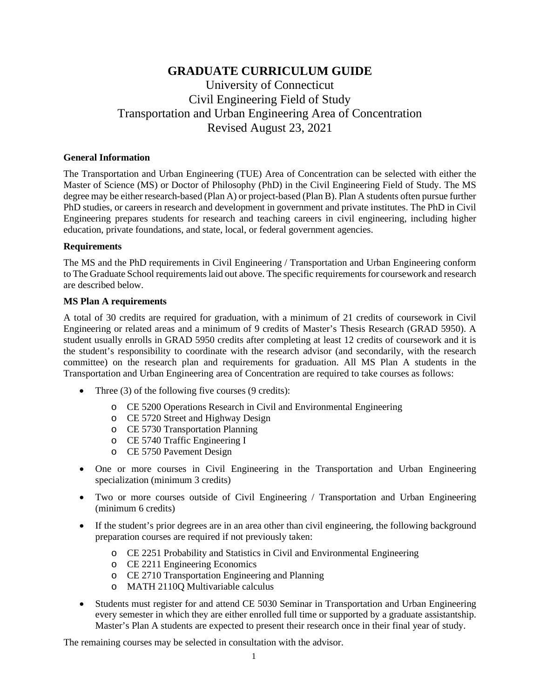# **GRADUATE CURRICULUM GUIDE**

# University of Connecticut Civil Engineering Field of Study Transportation and Urban Engineering Area of Concentration Revised August 23, 2021

#### **General Information**

The Transportation and Urban Engineering (TUE) Area of Concentration can be selected with either the Master of Science (MS) or Doctor of Philosophy (PhD) in the Civil Engineering Field of Study. The MS degree may be either research-based (Plan A) or project-based (Plan B). Plan A students often pursue further PhD studies, or careers in research and development in government and private institutes. The PhD in Civil Engineering prepares students for research and teaching careers in civil engineering, including higher education, private foundations, and state, local, or federal government agencies.

#### **Requirements**

The MS and the PhD requirements in Civil Engineering / Transportation and Urban Engineering conform to The Graduate School requirements laid out above. The specific requirements for coursework and research are described below.

#### **MS Plan A requirements**

A total of 30 credits are required for graduation, with a minimum of 21 credits of coursework in Civil Engineering or related areas and a minimum of 9 credits of Master's Thesis Research (GRAD 5950). A student usually enrolls in GRAD 5950 credits after completing at least 12 credits of coursework and it is the student's responsibility to coordinate with the research advisor (and secondarily, with the research committee) on the research plan and requirements for graduation. All MS Plan A students in the Transportation and Urban Engineering area of Concentration are required to take courses as follows:

- Three  $(3)$  of the following five courses  $(9 \text{ credits})$ :
	- o CE 5200 Operations Research in Civil and Environmental Engineering
	- o CE 5720 Street and Highway Design
	- o CE 5730 Transportation Planning
	- o CE 5740 Traffic Engineering I
	- o CE 5750 Pavement Design
- One or more courses in Civil Engineering in the Transportation and Urban Engineering specialization (minimum 3 credits)
- Two or more courses outside of Civil Engineering / Transportation and Urban Engineering (minimum 6 credits)
- If the student's prior degrees are in an area other than civil engineering, the following background preparation courses are required if not previously taken:
	- o CE 2251 Probability and Statistics in Civil and Environmental Engineering
	- o CE 2211 Engineering Economics
	- o CE 2710 Transportation Engineering and Planning
	- o MATH 2110Q Multivariable calculus
- Students must register for and attend CE 5030 Seminar in Transportation and Urban Engineering every semester in which they are either enrolled full time or supported by a graduate assistantship. Master's Plan A students are expected to present their research once in their final year of study.

The remaining courses may be selected in consultation with the advisor.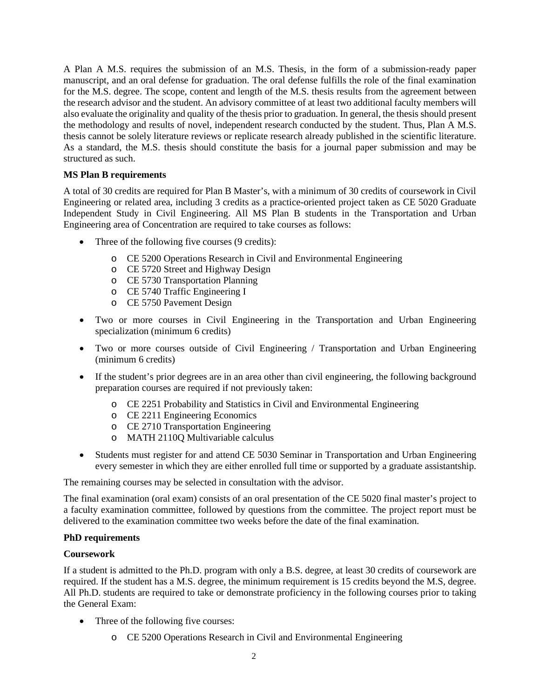A Plan A M.S. requires the submission of an M.S. Thesis, in the form of a submission-ready paper manuscript, and an oral defense for graduation. The oral defense fulfills the role of the final examination for the M.S. degree. The scope, content and length of the M.S. thesis results from the agreement between the research advisor and the student. An advisory committee of at least two additional faculty members will also evaluate the originality and quality of the thesis prior to graduation. In general, the thesis should present the methodology and results of novel, independent research conducted by the student. Thus, Plan A M.S. thesis cannot be solely literature reviews or replicate research already published in the scientific literature. As a standard, the M.S. thesis should constitute the basis for a journal paper submission and may be structured as such.

#### **MS Plan B requirements**

A total of 30 credits are required for Plan B Master's, with a minimum of 30 credits of coursework in Civil Engineering or related area, including 3 credits as a practice-oriented project taken as CE 5020 Graduate Independent Study in Civil Engineering. All MS Plan B students in the Transportation and Urban Engineering area of Concentration are required to take courses as follows:

- Three of the following five courses (9 credits):
	- o CE 5200 Operations Research in Civil and Environmental Engineering
	- o CE 5720 Street and Highway Design
	- o CE 5730 Transportation Planning
	- o CE 5740 Traffic Engineering I
	- o CE 5750 Pavement Design
- Two or more courses in Civil Engineering in the Transportation and Urban Engineering specialization (minimum 6 credits)
- Two or more courses outside of Civil Engineering / Transportation and Urban Engineering (minimum 6 credits)
- If the student's prior degrees are in an area other than civil engineering, the following background preparation courses are required if not previously taken:
	- o CE 2251 Probability and Statistics in Civil and Environmental Engineering
	- o CE 2211 Engineering Economics
	- o CE 2710 Transportation Engineering
	- o MATH 2110Q Multivariable calculus
- Students must register for and attend CE 5030 Seminar in Transportation and Urban Engineering every semester in which they are either enrolled full time or supported by a graduate assistantship.

The remaining courses may be selected in consultation with the advisor.

The final examination (oral exam) consists of an oral presentation of the CE 5020 final master's project to a faculty examination committee, followed by questions from the committee. The project report must be delivered to the examination committee two weeks before the date of the final examination.

#### **PhD requirements**

#### **Coursework**

If a student is admitted to the Ph.D. program with only a B.S. degree, at least 30 credits of coursework are required. If the student has a M.S. degree, the minimum requirement is 15 credits beyond the M.S, degree. All Ph.D. students are required to take or demonstrate proficiency in the following courses prior to taking the General Exam:

- Three of the following five courses:
	- o CE 5200 Operations Research in Civil and Environmental Engineering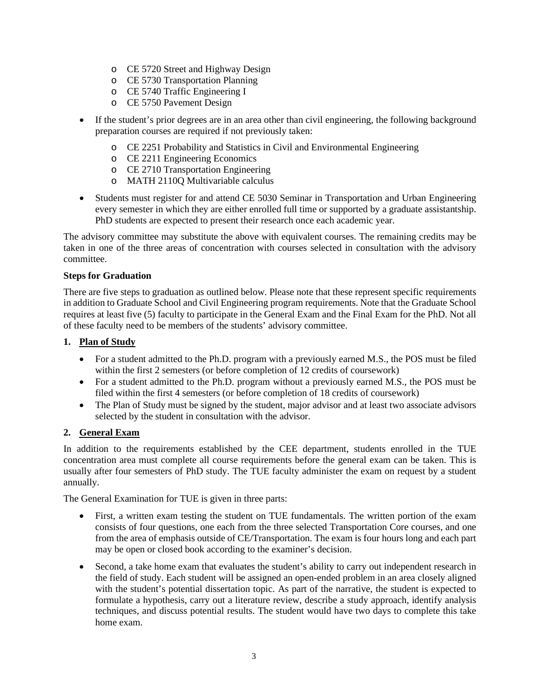- o CE 5720 Street and Highway Design
- o CE 5730 Transportation Planning
- o CE 5740 Traffic Engineering I
- o CE 5750 Pavement Design
- If the student's prior degrees are in an area other than civil engineering, the following background preparation courses are required if not previously taken:
	- o CE 2251 Probability and Statistics in Civil and Environmental Engineering
	- o CE 2211 Engineering Economics
	- o CE 2710 Transportation Engineering
	- o MATH 2110Q Multivariable calculus
- Students must register for and attend CE 5030 Seminar in Transportation and Urban Engineering every semester in which they are either enrolled full time or supported by a graduate assistantship. PhD students are expected to present their research once each academic year.

The advisory committee may substitute the above with equivalent courses. The remaining credits may be taken in one of the three areas of concentration with courses selected in consultation with the advisory committee.

#### **Steps for Graduation**

There are five steps to graduation as outlined below. Please note that these represent specific requirements in addition to Graduate School and Civil Engineering program requirements. Note that the Graduate School requires at least five (5) faculty to participate in the General Exam and the Final Exam for the PhD. Not all of these faculty need to be members of the students' advisory committee.

#### **1. Plan of Study**

- For a student admitted to the Ph.D. program with a previously earned M.S., the POS must be filed within the first 2 semesters (or before completion of 12 credits of coursework)
- For a student admitted to the Ph.D. program without a previously earned M.S., the POS must be filed within the first 4 semesters (or before completion of 18 credits of coursework)
- The Plan of Study must be signed by the student, major advisor and at least two associate advisors selected by the student in consultation with the advisor.

#### **2. General Exam**

In addition to the requirements established by the CEE department, students enrolled in the TUE concentration area must complete all course requirements before the general exam can be taken. This is usually after four semesters of PhD study. The TUE faculty administer the exam on request by a student annually.

The General Examination for TUE is given in three parts:

- First, a written exam testing the student on TUE fundamentals. The written portion of the exam consists of four questions, one each from the three selected Transportation Core courses, and one from the area of emphasis outside of CE/Transportation. The exam is four hours long and each part may be open or closed book according to the examiner's decision.
- Second, a take home exam that evaluates the student's ability to carry out independent research in the field of study. Each student will be assigned an open-ended problem in an area closely aligned with the student's potential dissertation topic. As part of the narrative, the student is expected to formulate a hypothesis, carry out a literature review, describe a study approach, identify analysis techniques, and discuss potential results. The student would have two days to complete this take home exam.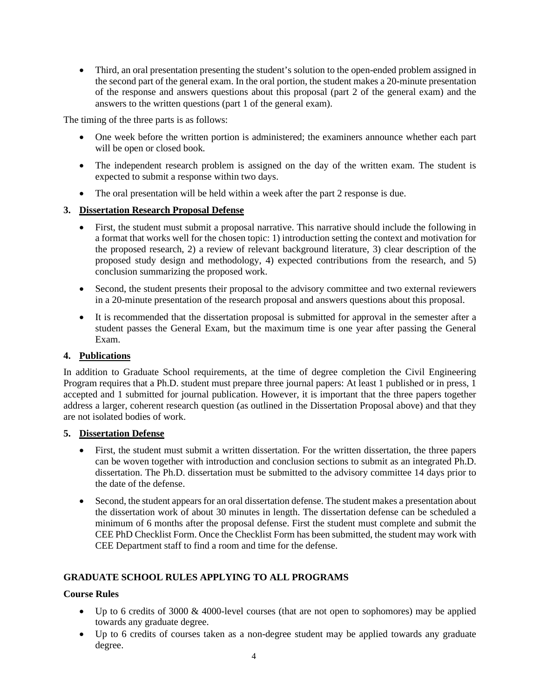• Third, an oral presentation presenting the student's solution to the open-ended problem assigned in the second part of the general exam. In the oral portion, the student makes a 20-minute presentation of the response and answers questions about this proposal (part 2 of the general exam) and the answers to the written questions (part 1 of the general exam).

The timing of the three parts is as follows:

- One week before the written portion is administered; the examiners announce whether each part will be open or closed book.
- The independent research problem is assigned on the day of the written exam. The student is expected to submit a response within two days.
- The oral presentation will be held within a week after the part 2 response is due.

#### **3. Dissertation Research Proposal Defense**

- First, the student must submit a proposal narrative. This narrative should include the following in a format that works well for the chosen topic: 1) introduction setting the context and motivation for the proposed research, 2) a review of relevant background literature, 3) clear description of the proposed study design and methodology, 4) expected contributions from the research, and 5) conclusion summarizing the proposed work.
- Second, the student presents their proposal to the advisory committee and two external reviewers in a 20-minute presentation of the research proposal and answers questions about this proposal.
- It is recommended that the dissertation proposal is submitted for approval in the semester after a student passes the General Exam, but the maximum time is one year after passing the General Exam.

#### **4. Publications**

In addition to Graduate School requirements, at the time of degree completion the Civil Engineering Program requires that a Ph.D. student must prepare three journal papers: At least 1 published or in press, 1 accepted and 1 submitted for journal publication. However, it is important that the three papers together address a larger, coherent research question (as outlined in the Dissertation Proposal above) and that they are not isolated bodies of work.

#### **5. Dissertation Defense**

- First, the student must submit a written dissertation. For the written dissertation, the three papers can be woven together with introduction and conclusion sections to submit as an integrated Ph.D. dissertation. The Ph.D. dissertation must be submitted to the advisory committee 14 days prior to the date of the defense.
- Second, the student appears for an oral dissertation defense. The student makes a presentation about the dissertation work of about 30 minutes in length. The dissertation defense can be scheduled a minimum of 6 months after the proposal defense. First the student must complete and submit the CEE PhD Checklist Form. Once the Checklist Form has been submitted, the student may work with CEE Department staff to find a room and time for the defense.

## **GRADUATE SCHOOL RULES APPLYING TO ALL PROGRAMS**

#### **Course Rules**

- Up to 6 credits of 3000 & 4000-level courses (that are not open to sophomores) may be applied towards any graduate degree.
- Up to 6 credits of courses taken as a non-degree student may be applied towards any graduate degree.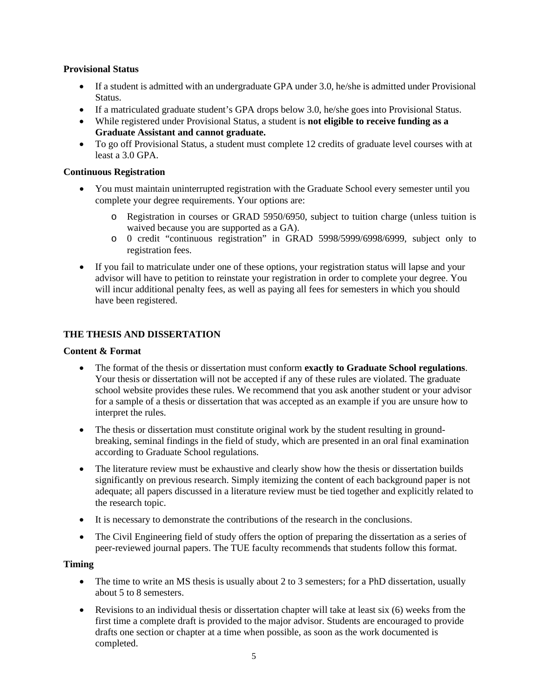#### **Provisional Status**

- If a student is admitted with an undergraduate GPA under 3.0, he/she is admitted under Provisional Status.
- If a matriculated graduate student's GPA drops below 3.0, he/she goes into Provisional Status.
- While registered under Provisional Status, a student is **not eligible to receive funding as a Graduate Assistant and cannot graduate.**
- To go off Provisional Status, a student must complete 12 credits of graduate level courses with at least a 3.0 GPA.

#### **Continuous Registration**

- You must maintain uninterrupted registration with the Graduate School every semester until you complete your degree requirements. Your options are:
	- o Registration in courses or GRAD 5950/6950, subject to tuition charge (unless tuition is waived because you are supported as a GA).
	- o 0 credit "continuous registration" in GRAD 5998/5999/6998/6999, subject only to registration fees.
- If you fail to matriculate under one of these options, your registration status will lapse and your advisor will have to petition to reinstate your registration in order to complete your degree. You will incur additional penalty fees, as well as paying all fees for semesters in which you should have been registered.

## **THE THESIS AND DISSERTATION**

#### **Content & Format**

- The format of the thesis or dissertation must conform **exactly to Graduate School regulations**. Your thesis or dissertation will not be accepted if any of these rules are violated. The graduate school website provides these rules. We recommend that you ask another student or your advisor for a sample of a thesis or dissertation that was accepted as an example if you are unsure how to interpret the rules.
- The thesis or dissertation must constitute original work by the student resulting in groundbreaking, seminal findings in the field of study, which are presented in an oral final examination according to Graduate School regulations.
- The literature review must be exhaustive and clearly show how the thesis or dissertation builds significantly on previous research. Simply itemizing the content of each background paper is not adequate; all papers discussed in a literature review must be tied together and explicitly related to the research topic.
- It is necessary to demonstrate the contributions of the research in the conclusions.
- The Civil Engineering field of study offers the option of preparing the dissertation as a series of peer-reviewed journal papers. The TUE faculty recommends that students follow this format.

#### **Timing**

- The time to write an MS thesis is usually about 2 to 3 semesters; for a PhD dissertation, usually about 5 to 8 semesters.
- Revisions to an individual thesis or dissertation chapter will take at least six (6) weeks from the first time a complete draft is provided to the major advisor. Students are encouraged to provide drafts one section or chapter at a time when possible, as soon as the work documented is completed.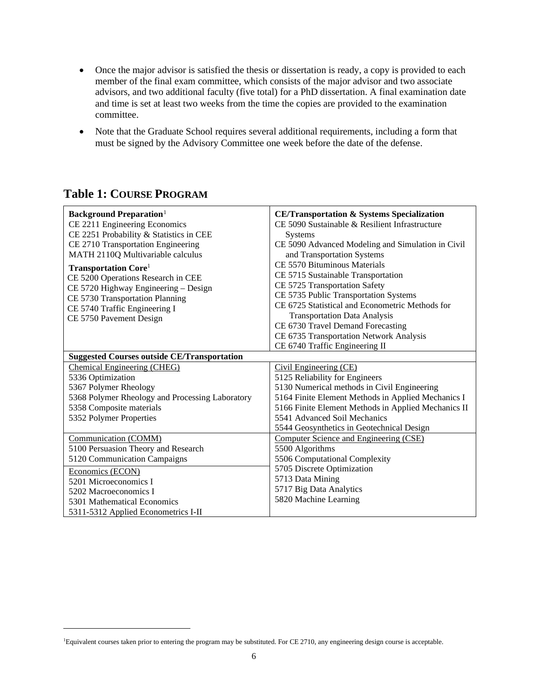- Once the major advisor is satisfied the thesis or dissertation is ready, a copy is provided to each member of the final exam committee, which consists of the major advisor and two associate advisors, and two additional faculty (five total) for a PhD dissertation. A final examination date and time is set at least two weeks from the time the copies are provided to the examination committee.
- Note that the Graduate School requires several additional requirements, including a form that must be signed by the Advisory Committee one week before the date of the defense.

# **Table 1: COURSE PROGRAM**

| <b>Background Preparation</b> <sup>1</sup><br>CE 2211 Engineering Economics | <b>CE/Transportation &amp; Systems Specialization</b><br>CE 5090 Sustainable & Resilient Infrastructure |
|-----------------------------------------------------------------------------|---------------------------------------------------------------------------------------------------------|
| CE 2251 Probability & Statistics in CEE                                     | <b>Systems</b>                                                                                          |
| CE 2710 Transportation Engineering                                          | CE 5090 Advanced Modeling and Simulation in Civil                                                       |
| MATH 2110Q Multivariable calculus                                           | and Transportation Systems                                                                              |
| <b>Transportation Core</b> <sup>1</sup>                                     | CE 5570 Bituminous Materials                                                                            |
| CE 5200 Operations Research in CEE                                          | CE 5715 Sustainable Transportation                                                                      |
| CE 5720 Highway Engineering - Design                                        | CE 5725 Transportation Safety                                                                           |
| CE 5730 Transportation Planning                                             | CE 5735 Public Transportation Systems                                                                   |
| CE 5740 Traffic Engineering I                                               | CE 6725 Statistical and Econometric Methods for                                                         |
| CE 5750 Pavement Design                                                     | <b>Transportation Data Analysis</b>                                                                     |
|                                                                             | CE 6730 Travel Demand Forecasting                                                                       |
|                                                                             | CE 6735 Transportation Network Analysis                                                                 |
|                                                                             | CE 6740 Traffic Engineering II                                                                          |
| <b>Suggested Courses outside CE/Transportation</b>                          |                                                                                                         |
| <b>Chemical Engineering (CHEG)</b>                                          | Civil Engineering (CE)                                                                                  |
| 5336 Optimization                                                           | 5125 Reliability for Engineers                                                                          |
| 5367 Polymer Rheology                                                       | 5130 Numerical methods in Civil Engineering                                                             |
| 5368 Polymer Rheology and Processing Laboratory                             | 5164 Finite Element Methods in Applied Mechanics I                                                      |
| 5358 Composite materials                                                    | 5166 Finite Element Methods in Applied Mechanics II                                                     |
| 5352 Polymer Properties                                                     | 5541 Advanced Soil Mechanics                                                                            |
|                                                                             | 5544 Geosynthetics in Geotechnical Design                                                               |
| Communication (COMM)                                                        | Computer Science and Engineering (CSE)                                                                  |
| 5100 Persuasion Theory and Research                                         | 5500 Algorithms                                                                                         |
| 5120 Communication Campaigns                                                | 5506 Computational Complexity                                                                           |
| Economics (ECON)                                                            | 5705 Discrete Optimization                                                                              |
| 5201 Microeconomics I                                                       | 5713 Data Mining                                                                                        |
| 5202 Macroeconomics I                                                       | 5717 Big Data Analytics                                                                                 |
| 5301 Mathematical Economics                                                 | 5820 Machine Learning                                                                                   |
| 5311-5312 Applied Econometrics I-II                                         |                                                                                                         |

<span id="page-5-0"></span><sup>1</sup> Equivalent courses taken prior to entering the program may be substituted. For CE 2710, any engineering design course is acceptable.